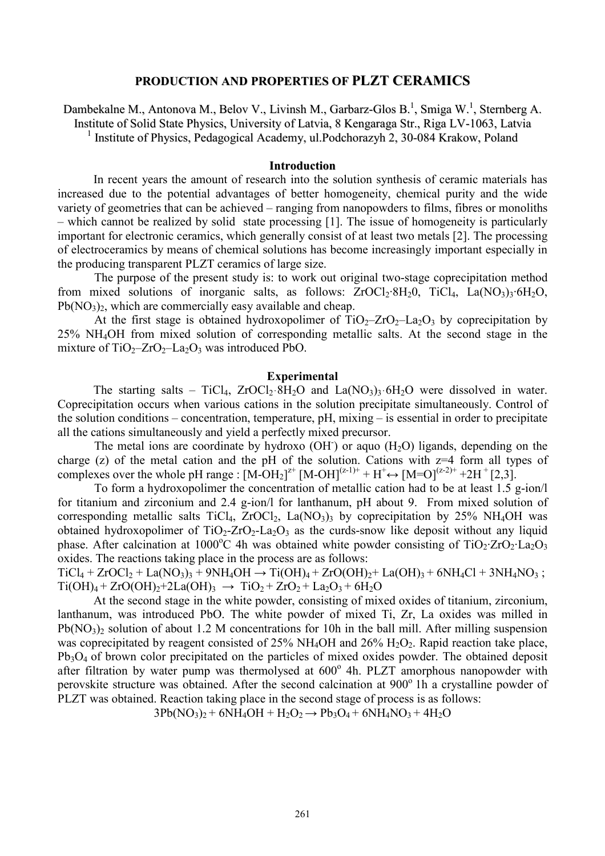## **PRODUCTION AND PROPERTIES OF PLZT CERAMICS**

Dambekalne M., Antonova M., Belov V., Livinsh M., Garbarz-Glos B.<sup>1</sup>, Smiga W.<sup>1</sup>, Sternberg A. Institute of Solid State Physics, University of Latvia, 8 Kengaraga Str., Riga LV-1063, Latvia <sup>1</sup> Institute of Physics, Pedagogical Academy, ul.Podchorazyh 2, 30-084 Krakow, Poland

### **Introduction**

In recent years the amount of research into the solution synthesis of ceramic materials has increased due to the potential advantages of better homogeneity, chemical purity and the wide variety of geometries that can be achieved – ranging from nanopowders to films, fibres or monoliths – which cannot be realized by solid state processing [1]. The issue of homogeneity is particularly important for electronic ceramics, which generally consist of at least two metals [2]. The processing of electroceramics by means of chemical solutions has become increasingly important especially in the producing transparent PLZT ceramics of large size.

The purpose of the present study is: to work out original two-stage coprecipitation method from mixed solutions of inorganic salts, as follows:  $ZrOCl_2·8H_2O$ ,  $TiCl_4$ ,  $La NO_3$ <sub>3</sub> $·6H_2O$ ,  $Pb(NO<sub>3</sub>)<sub>2</sub>$ , which are commercially easy available and cheap.

At the first stage is obtained hydroxopolimer of  $TiO<sub>2</sub>-ZrO<sub>2</sub>-La<sub>2</sub>O<sub>3</sub>$  by coprecipitation by 25% NH4OH from mixed solution of corresponding metallic salts. At the second stage in the mixture of  $TiO_2$ - $ZrO_2$ - $La_2O_3$  was introduced PbO.

#### **Experimental**

The starting salts – TiCl<sub>4</sub>, ZrOCl<sub>2</sub>·8H<sub>2</sub>O and La(NO<sub>3</sub>)<sub>3</sub>·6H<sub>2</sub>O were dissolved in water. Coprecipitation occurs when various cations in the solution precipitate simultaneously. Control of the solution conditions – concentration, temperature, pH, mixing – is essential in order to precipitate all the cations simultaneously and yield a perfectly mixed precursor.

The metal ions are coordinate by hydroxo  $(OH)$  or aquo  $(H<sub>2</sub>O)$  ligands, depending on the charge (z) of the metal cation and the pH of the solution. Cations with  $z=4$  form all types of complexes over the whole pH range :  $[M-OH_2]^{z^+}$   $[M-OH]^{(z-1)+}$  +  $H^+ \leftrightarrow [M=O]^{(z-2)+}$  +2H<sup>+</sup> [2,3].

To form a hydroxopolimer the concentration of metallic cation had to be at least 1.5 g-ion/l for titanium and zirconium and 2.4 g-ion/l for lanthanum, pH about 9. From mixed solution of corresponding metallic salts TiCl<sub>4</sub>, ZrOCl<sub>2</sub>, La(NO<sub>3</sub>)<sub>3</sub> by coprecipitation by 25% NH<sub>4</sub>OH was obtained hydroxopolimer of  $TiO<sub>2</sub>-ZrO<sub>2</sub>-La<sub>2</sub>O<sub>3</sub>$  as the curds-snow like deposit without any liquid phase. After calcination at 1000<sup>o</sup>C 4h was obtained white powder consisting of  $TiO_2$ · $ZrO_2$ · $La_2O_3$ oxides. The reactions taking place in the process are as follows:

 $TiCl_4 + ZrOCl_2 + La(NO_3)$ <sub>3</sub> + 9NH<sub>4</sub>OH  $\rightarrow Ti(OH)_4 + ZrO(OH)_2 + La(OH)_3 + 6NH_4Cl + 3NH_4NO_3$ ;  $Ti(OH)<sub>4</sub> + ZrO(OH)<sub>2</sub>+2La(OH)<sub>3</sub> \rightarrow TiO<sub>2</sub> + ZrO<sub>2</sub> + La<sub>2</sub>O<sub>3</sub> + 6H<sub>2</sub>O$ 

At the second stage in the white powder, consisting of mixed oxides of titanium, zirconium, lanthanum, was introduced PbO. The white powder of mixed Ti, Zr, La oxides was milled in  $Pb(NO_3)$  solution of about 1.2 M concentrations for 10h in the ball mill. After milling suspension was coprecipitated by reagent consisted of  $25\%$  NH<sub>4</sub>OH and  $26\%$  H<sub>2</sub>O<sub>2</sub>. Rapid reaction take place, Pb<sub>3</sub>O<sub>4</sub> of brown color precipitated on the particles of mixed oxides powder. The obtained deposit after filtration by water pump was thermolysed at 600° 4h. PLZT amorphous nanopowder with perovskite structure was obtained. After the second calcination at 900<sup>°</sup> 1h a crystalline powder of PLZT was obtained. Reaction taking place in the second stage of process is as follows:

 $3Pb(NO_3)_2 + 6NH_4OH + H_2O_2 \rightarrow Pb_3O_4 + 6NH_4NO_3 + 4H_2O$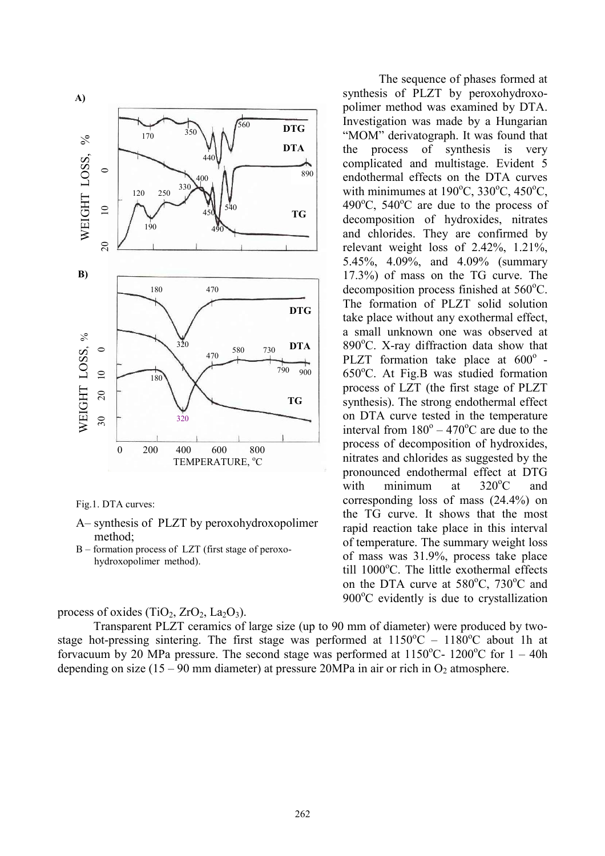

Fig.1. DTA curves:

- A– synthesis of PLZT by peroxohydroxopolimer method;
- B formation process of LZT (first stage of peroxohydroxopolimer method).

## process of oxides  $(TiO_2, ZrO_2, La_2O_3)$ .

Transparent PLZT ceramics of large size (up to 90 mm of diameter) were produced by twostage hot-pressing sintering. The first stage was performed at  $1150^{\circ}$ C –  $1180^{\circ}$ C about 1h at forvacuum by 20 MPa pressure. The second stage was performed at  $1150^{\circ}$ C-  $1200^{\circ}$ C for  $1 - 40$ h depending on size (15 – 90 mm diameter) at pressure 20MPa in air or rich in  $O_2$  atmosphere.

The sequence of phases formed at synthesis of PLZT by peroxohydroxopolimer method was examined by DTA. Investigation was made by a Hungarian "MOM" derivatograph. It was found that the process of synthesis is very complicated and multistage. Evident 5 endothermal effects on the DTA curves with minimumes at  $190^{\circ}$ C,  $330^{\circ}$ C,  $450^{\circ}$ C,  $490^{\circ}$ C,  $540^{\circ}$ C are due to the process of decomposition of hydroxides, nitrates and chlorides. They are confirmed by relevant weight loss of 2.42%, 1.21%, 5.45%, 4.09%, and 4.09% (summary 17.3%) of mass on the TG curve. The decomposition process finished at  $560^{\circ}$ C. The formation of PLZT solid solution take place without any exothermal effect, a small unknown one was observed at  $890^{\circ}$ C. X-ray diffraction data show that PLZT formation take place at  $600^\circ$  - $650^{\circ}$ C. At Fig.B was studied formation process of LZT (the first stage of PLZT synthesis). The strong endothermal effect on DTA curve tested in the temperature interval from  $180^\circ - 470^\circ$ C are due to the process of decomposition of hydroxides, nitrates and chlorides as suggested by the pronounced endothermal effect at DTG with minimum at  $320^{\circ}$ C and corresponding loss of mass (24.4%) on the TG curve. It shows that the most rapid reaction take place in this interval of temperature. The summary weight loss of mass was 31.9%, process take place till  $1000^{\circ}$ C. The little exothermal effects on the DTA curve at  $580^{\circ}$ C,  $730^{\circ}$ C and  $900^{\circ}$ C evidently is due to crystallization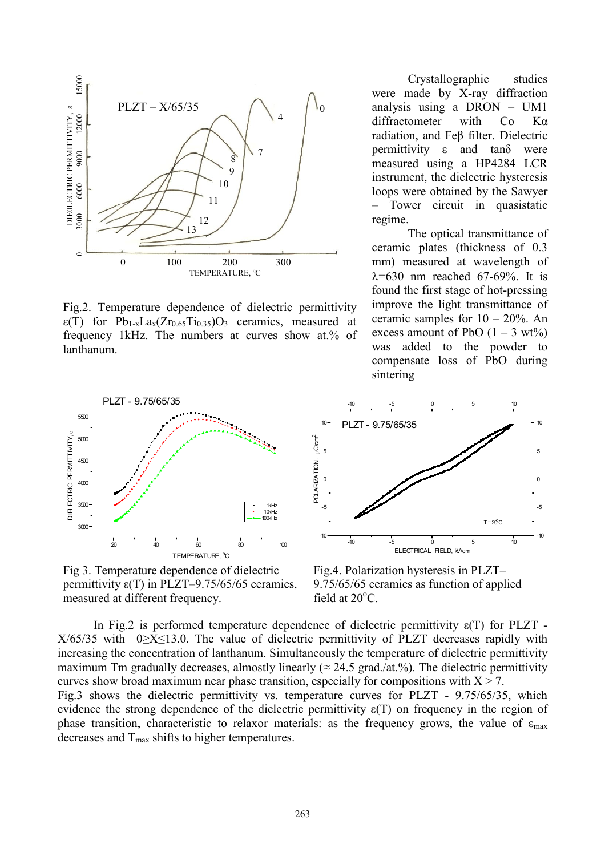

Fig.2. Temperature dependence of dielectric permittivity  $\varepsilon(T)$  for Pb<sub>1-x</sub>La<sub>x</sub>(Zr<sub>0.65</sub>T<sub>10.35</sub>)O<sub>3</sub> ceramics, measured at frequency 1kHz. The numbers at curves show at.% of lanthanum.



Fig 3. Temperature dependence of dielectric permittivity  $\varepsilon(T)$  in PLZT–9.75/65/65 ceramics, measured at different frequency.

Crystallographic studies were made by X-ray diffraction analysis using a DRON – UM1 diffractometer with Co Ka radiation, and Feβ filter. Dielectric permittivity ε and tanδ were measured using a HP4284 LCR instrument, the dielectric hysteresis loops were obtained by the Sawyer – Tower circuit in quasistatic regime.

The optical transmittance of ceramic plates (thickness of 0.3 mm) measured at wavelength of  $\lambda$ =630 nm reached 67-69%. It is found the first stage of hot-pressing improve the light transmittance of ceramic samples for  $10 - 20\%$ . An excess amount of PbO  $(1 – 3 wt%)$ was added to the powder to compensate loss of PbO during sintering



Fig.4. Polarization hysteresis in PLZT– 9.75/65/65 ceramics as function of applied field at  $20^{\circ}$ C.

In Fig.2 is performed temperature dependence of dielectric permittivity  $\varepsilon(T)$  for PLZT - $X/65/35$  with 0 $\geq$ X $\leq$ 13.0. The value of dielectric permittivity of PLZT decreases rapidly with increasing the concentration of lanthanum. Simultaneously the temperature of dielectric permittivity maximum Tm gradually decreases, almostly linearly ( $\approx$  24.5 grad./at.%). The dielectric permittivity curves show broad maximum near phase transition, especially for compositions with  $X > 7$ . Fig.3 shows the dielectric permittivity vs. temperature curves for PLZT - 9.75/65/35, which evidence the strong dependence of the dielectric permittivity  $\varepsilon(T)$  on frequency in the region of phase transition, characteristic to relaxor materials: as the frequency grows, the value of  $\varepsilon_{\text{max}}$ decreases and  $T_{\text{max}}$  shifts to higher temperatures.